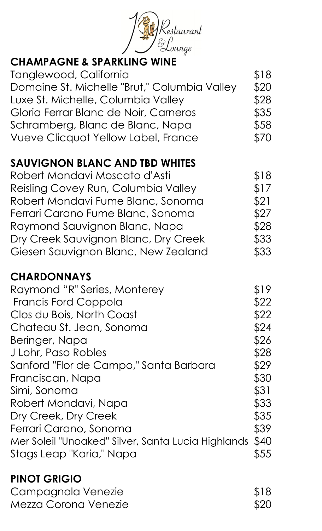

# CHAMPAGNE & SPARKLING WINE

| Tanglewood, California                       | \$18 |
|----------------------------------------------|------|
| Domaine St. Michelle "Brut," Columbia Valley | \$20 |
| Luxe St. Michelle, Columbia Valley           | \$28 |
| Gloria Ferrar Blanc de Noir, Carneros        | \$35 |
| Schramberg, Blanc de Blanc, Napa             | \$58 |
| <b>Vueve Clicquot Yellow Label, France</b>   | \$70 |

# SAUVIGNON BLANC AND TBD WHITES

| Robert Mondavi Moscato d'Asti        | \$18 |
|--------------------------------------|------|
| Reisling Covey Run, Columbia Valley  | \$17 |
| Robert Mondavi Fume Blanc, Sonoma    | \$21 |
| Ferrari Carano Fume Blanc, Sonoma    | \$27 |
| Raymond Sauvignon Blanc, Napa        | \$28 |
| Dry Creek Sauvignon Blanc, Dry Creek | \$33 |
| Giesen Sauvignon Blanc, New Zealand  | \$33 |

### **CHARDONNAYS**

| \$19 |
|------|
| \$22 |
| \$22 |
| \$24 |
| \$26 |
| \$28 |
| \$29 |
| \$30 |
| \$31 |
| \$33 |
| \$35 |
| \$39 |
| \$40 |
| \$55 |
|      |

### PINOT GRIGIO Campagnola Venezie **\$18** Mezza Corona Venezie **\$20**